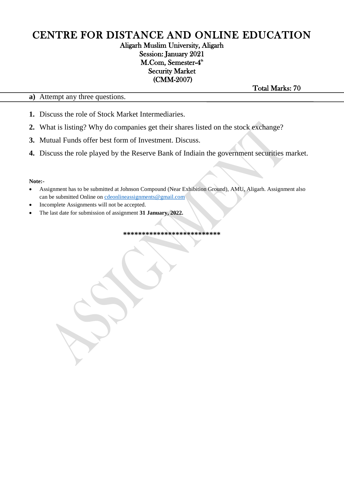### Aligarh Muslim University, Aligarh Session: January 2021 M.Com, Semester-4<sup>th</sup> Security Market (CMM-2007)

**a)** Attempt any three questions.

Total Marks: 70

- **1.** Discuss the role of Stock Market Intermediaries.
- **2.** What is listing? Why do companies get their shares listed on the stock exchange?
- **3.** Mutual Funds offer best form of Investment. Discuss.
- **4.** Discuss the role played by the Reserve Bank of Indiain the government securities market.

#### **Note:-**

- Assignment has to be submitted at Johnson Compound (Near Exhibition Ground), AMU, Aligarh. Assignment also can be submitted Online on [cdeonlineassignments@gmail.com](mailto:cdeonlineassignments@gmail.com)
- Incomplete Assignments will not be accepted.
- The last date for submission of assignment **31 January, 2022.**

**\*\*\*\*\*\*\*\*\*\*\*\*\*\*\*\*\*\*\*\*\*\*\*\*\*\***

I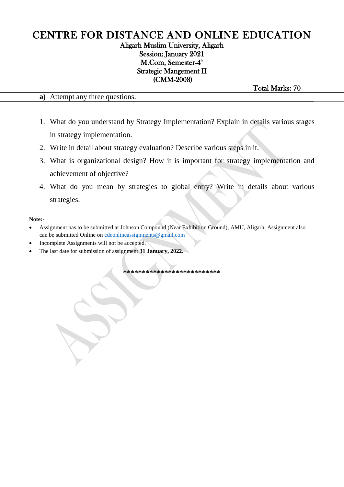## Aligarh Muslim University, Aligarh Session: January 2021 M.Com, Semester-4<sup>th</sup> Strategic Mangement II (CMM-2008)

Total Marks: 70

**a)** Attempt any three questions.

- 1. What do you understand by Strategy Implementation? Explain in details various stages in strategy implementation.
- 2. Write in detail about strategy evaluation? Describe various steps in it.
- 3. What is organizational design? How it is important for strategy implementation and achievement of objective?
- 4. What do you mean by strategies to global entry? Write in details about various strategies.

#### **Note:-**

- Assignment has to be submitted at Johnson Compound (Near Exhibition Ground), AMU, Aligarh. Assignment also can be submitted Online on [cdeonlineassignments@gmail.com](mailto:cdeonlineassignments@gmail.com)
- Incomplete Assignments will not be accepted.
- The last date for submission of assignment **31 January, 2022.**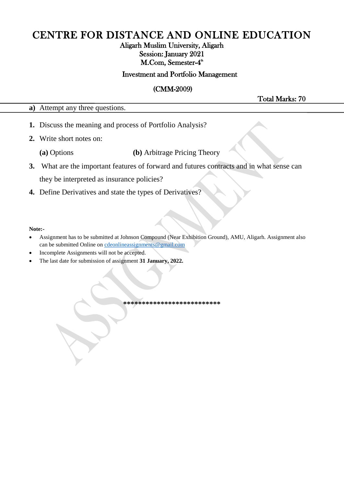## Aligarh Muslim University, Aligarh Session: January 2021 M.Com, Semester-4<sup>th</sup>

### Investment and Portfolio Management

### (CMM-2009)

Total Marks: 70

**a)** Attempt any three questions.

- **1.** Discuss the meaning and process of Portfolio Analysis?
- **2.** Write short notes on:
	- **(a)** Options **(b)** Arbitrage Pricing Theory
- **3.** What are the important features of forward and futures contracts and in what sense can they be interpreted as insurance policies?
- **4.** Define Derivatives and state the types of Derivatives?

#### **Note:-**

- Assignment has to be submitted at Johnson Compound (Near Exhibition Ground), AMU, Aligarh. Assignment also can be submitted Online on [cdeonlineassignments@gmail.com](mailto:cdeonlineassignments@gmail.com)
- Incomplete Assignments will not be accepted.
- The last date for submission of assignment **31 January, 2022.**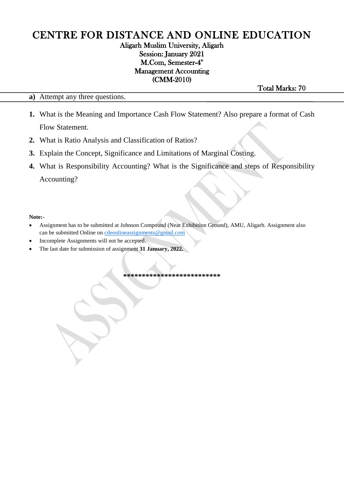## Aligarh Muslim University, Aligarh Session: January 2021 M.Com, Semester-4<sup>th</sup> Management Accounting (CMM-2010)

**a)** Attempt any three questions.

Total Marks: 70

- **1.** What is the Meaning and Importance Cash Flow Statement? Also prepare a format of Cash Flow Statement.
- **2.** What is Ratio Analysis and Classification of Ratios?
- **3.** Explain the Concept, Significance and Limitations of Marginal Costing.
- **4.** What is Responsibility Accounting? What is the Significance and steps of Responsibility Accounting?

#### **Note:-**

- Assignment has to be submitted at Johnson Compound (Near Exhibition Ground), AMU, Aligarh. Assignment also can be submitted Online on [cdeonlineassignments@gmail.com](mailto:cdeonlineassignments@gmail.com)
- Incomplete Assignments will not be accepted.
- The last date for submission of assignment **31 January, 2022.**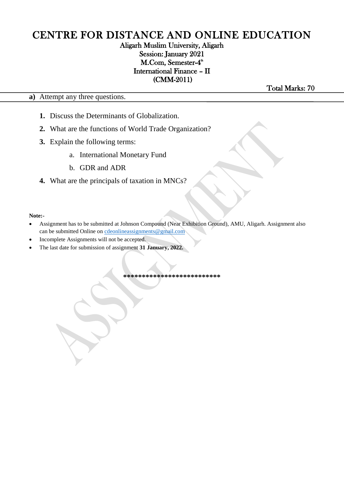## Aligarh Muslim University, Aligarh Session: January 2021 M.Com, Semester-4<sup>th</sup> International Finance – II (CMM-2011)

**a)** Attempt any three questions.

Total Marks: 70

- **1.** Discuss the Determinants of Globalization.
- **2.** What are the functions of World Trade Organization?
- **3.** Explain the following terms:
	- a. International Monetary Fund
	- b. GDR and ADR
- **4.** What are the principals of taxation in MNCs?

#### **Note:-**

- Assignment has to be submitted at Johnson Compound (Near Exhibition Ground), AMU, Aligarh. Assignment also can be submitted Online on [cdeonlineassignments@gmail.com](mailto:cdeonlineassignments@gmail.com)
- Incomplete Assignments will not be accepted.
- The last date for submission of assignment **31 January, 2022.**